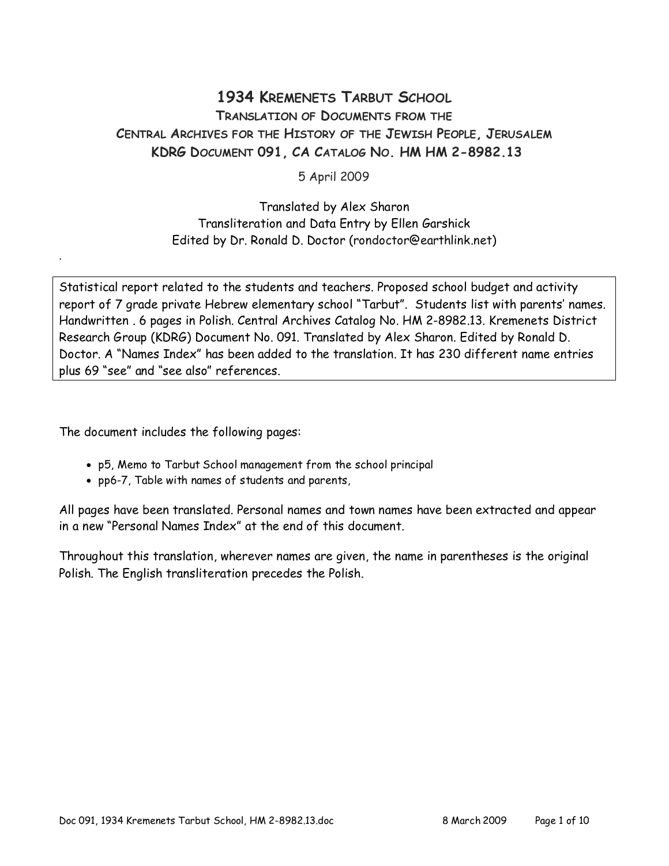## 1934 KREMENETS TARBUT SCHOOL TRANSLATION OF DOCUMENTS FROM THE CENTRAL ARCHIVES FOR THE HISTORY OF THE JEWISH PEOPLE, JERUSALEM KDRG DOCUMENT 091, CA CATALOG NO. HM HM 2-8982.13

5 April 2009

Translated by Alex Sharon Transliteration and Data Entry by Ellen Garshick Edited by Dr. Ronald D. Doctor (rondoctor@earthlink.net)

Statistical report related to the students and teachers. Proposed school budget and activity report of 7 grade private Hebrew elementary school "Tarbut". Students list with parents' names. Handwritten . 6 pages in Polish. Central Archives Catalog No. HM 2-8982.13. Kremenets District Research Group (KDRG) Document No. 091. Translated by Alex Sharon. Edited by Ronald D. Doctor. A "Names Index" has been added to the translation. It has 230 different name entries plus 69 "see" and "see also" references.

The document includes the following pages:

.

- p5, Memo to Tarbut School management from the school principal
- pp6-7, Table with names of students and parents,

All pages have been translated. Personal names and town names have been extracted and appear in a new "Personal Names Index" at the end of this document.

Throughout this translation, wherever names are given, the name in parentheses is the original Polish. The English transliteration precedes the Polish.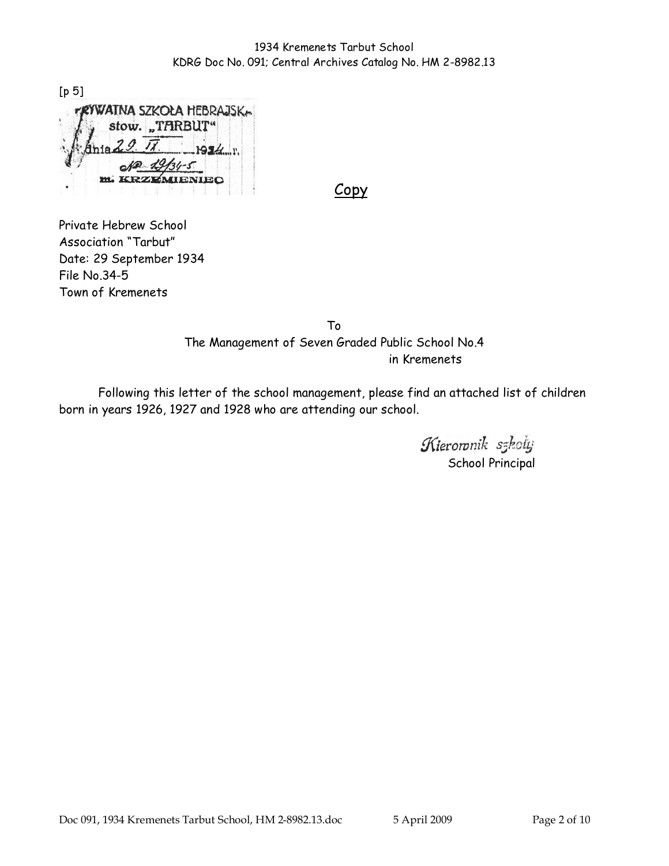[p 5] WATNA SZKOŁA HEBRAJSKA stow. "TARBUT"  $954<sub>1</sub>$ **m. KRZEMIENIEC** 

Copy

Private Hebrew School Association "Tarbut" Date: 29 September 1934 File No.34-5 Town of Kremenets

> To The Management of Seven Graded Public School No.4 in Kremenets

Following this letter of the school management, please find an attached list of children born in years 1926, 1927 and 1928 who are attending our school.

> Kieroronik szkoly School Principal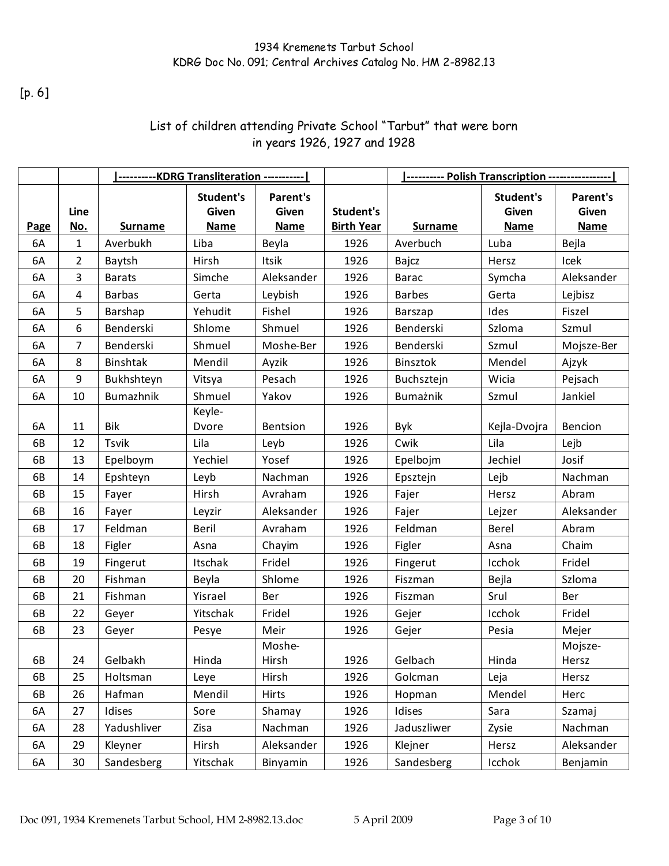[p. 6]

## List of children attending Private School "Tarbut" that were born in years 1926, 1927 and 1928

|             |                    | ---------KDRG Transliteration ----------- |                                   |                                  |                                |                |                                   |                                         |
|-------------|--------------------|-------------------------------------------|-----------------------------------|----------------------------------|--------------------------------|----------------|-----------------------------------|-----------------------------------------|
| <b>Page</b> | Line<br><u>No.</u> | <b>Surname</b>                            | Student's<br>Given<br><b>Name</b> | Parent's<br>Given<br><b>Name</b> | Student's<br><b>Birth Year</b> | <b>Surname</b> | <b>Student's</b><br>Given<br>Name | <b>Parent's</b><br>Given<br><b>Name</b> |
| 6A          | 1                  | Averbukh                                  | Liba                              | Beyla                            | 1926                           | Averbuch       | Luba                              | Bejla                                   |
| 6A          | $\overline{2}$     | Baytsh                                    | Hirsh                             | Itsik                            | 1926                           | Bajcz          | Hersz                             | Icek                                    |
| 6A          | 3                  | <b>Barats</b>                             | Simche                            | Aleksander                       | 1926                           | <b>Barac</b>   | Symcha                            | Aleksander                              |
| 6A          | 4                  | <b>Barbas</b>                             | Gerta                             | Leybish                          | 1926                           | <b>Barbes</b>  | Gerta                             | Lejbisz                                 |
| 6A          | 5                  | Barshap                                   | Yehudit                           | Fishel                           | 1926                           | Barszap        | Ides                              | Fiszel                                  |
| 6A          | 6                  | Benderski                                 | Shlome                            | Shmuel                           | 1926                           | Benderski      | Szloma                            | Szmul                                   |
| 6A          | $\overline{7}$     | Benderski                                 | Shmuel                            | Moshe-Ber                        | 1926                           | Benderski      | Szmul                             | Mojsze-Ber                              |
| 6A          | 8                  | Binshtak                                  | Mendil                            | Ayzik                            | 1926                           | Binsztok       | Mendel                            | Ajzyk                                   |
| 6A          | 9                  | Bukhshteyn                                | Vitsya                            | Pesach                           | 1926                           | Buchsztejn     | Wicia                             | Pejsach                                 |
| 6A          | 10                 | Bumazhnik                                 | Shmuel                            | Yakov                            | 1926                           | Bumażnik       | Szmul                             | Jankiel                                 |
| 6A          | 11                 | <b>Bik</b>                                | Keyle-<br>Dvore                   | <b>Bentsion</b>                  | 1926                           | Byk            | Kejla-Dvojra                      | Bencion                                 |
| 6B          | 12                 | Tsvik                                     | Lila                              | Leyb                             | 1926                           | Cwik           | Lila                              | Lejb                                    |
| 6B          | 13                 | Epelboym                                  | Yechiel                           | Yosef                            | 1926                           | Epelbojm       | Jechiel                           | Josif                                   |
| 6B          | 14                 | Epshteyn                                  | Leyb                              | Nachman                          | 1926                           | Epsztejn       | Lejb                              | Nachman                                 |
| 6B          | 15                 | Fayer                                     | Hirsh                             | Avraham                          | 1926                           | Fajer          | Hersz                             | Abram                                   |
| 6B          | 16                 | Fayer                                     | Leyzir                            | Aleksander                       | 1926                           | Fajer          | Lejzer                            | Aleksander                              |
| 6B          | 17                 | Feldman                                   | Beril                             | Avraham                          | 1926                           | Feldman        | Berel                             | Abram                                   |
| 6B          | 18                 | Figler                                    | Asna                              | Chayim                           | 1926                           | Figler         | Asna                              | Chaim                                   |
| 6B          | 19                 | Fingerut                                  | Itschak                           | Fridel                           | 1926                           | Fingerut       | Icchok                            | Fridel                                  |
| 6B          | 20                 | Fishman                                   | Beyla                             | Shlome                           | 1926                           | Fiszman        | Bejla                             | Szloma                                  |
| 6B          | 21                 | Fishman                                   | Yisrael                           | Ber                              | 1926                           | Fiszman        | Srul                              | Ber                                     |
| 6B          | 22                 | Geyer                                     | Yitschak                          | Fridel                           | 1926                           | Gejer          | Icchok                            | Fridel                                  |
| 6B          | 23                 | Geyer                                     | Pesye                             | Meir                             | 1926                           | Gejer          | Pesia                             | Mejer                                   |
| 6B          | 24                 | Gelbakh                                   | Hinda                             | Moshe-<br>Hirsh                  | 1926                           | Gelbach        | Hinda                             | Mojsze-<br>Hersz                        |
| 6B          | 25                 | Holtsman                                  | Leye                              | Hirsh                            | 1926                           | Golcman        | Leja                              | Hersz                                   |
| 6B          | 26                 | Hafman                                    | Mendil                            | <b>Hirts</b>                     | 1926                           | Hopman         | Mendel                            | Herc                                    |
| 6A          | 27                 | Idises                                    | Sore                              | Shamay                           | 1926                           | Idises         | Sara                              | Szamaj                                  |
| 6A          | 28                 | Yadushliver                               | Zisa                              | Nachman                          | 1926                           | Jaduszliwer    | Zysie                             | Nachman                                 |
| 6A          | 29                 | Kleyner                                   | Hirsh                             | Aleksander                       | 1926                           | Klejner        | Hersz                             | Aleksander                              |
| 6A          | 30                 | Sandesberg                                | Yitschak                          | Binyamin                         | 1926                           | Sandesberg     | Icchok                            | Benjamin                                |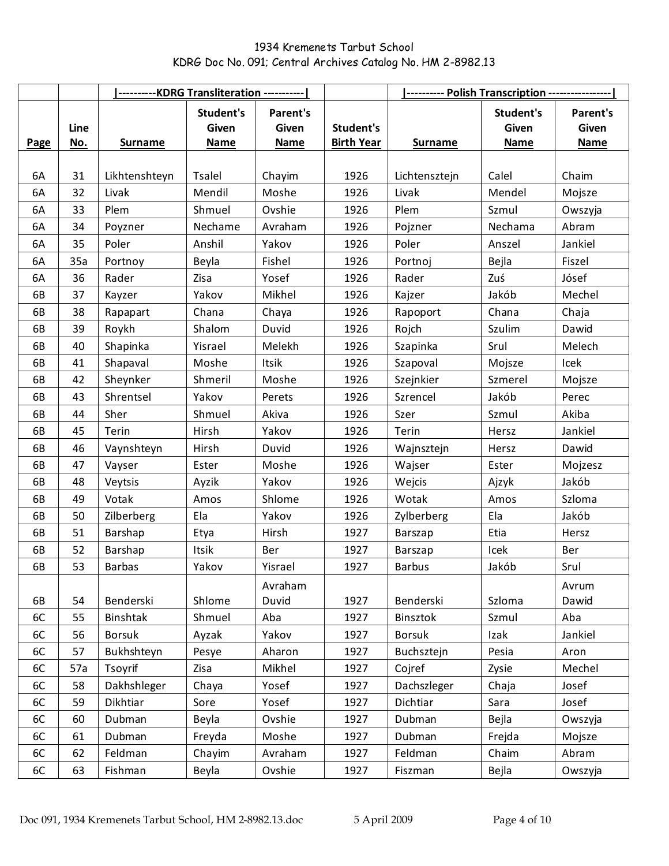|      |                    | ----- <u>-----KDRG Transliteration -----------</u> |                                   |                                  |                                | <b>1---------- Polish Transcription ----------------  </b> |                                   |                                  |
|------|--------------------|----------------------------------------------------|-----------------------------------|----------------------------------|--------------------------------|------------------------------------------------------------|-----------------------------------|----------------------------------|
| Page | Line<br><u>No.</u> | <b>Surname</b>                                     | Student's<br>Given<br><b>Name</b> | Parent's<br>Given<br><b>Name</b> | Student's<br><b>Birth Year</b> | <b>Surname</b>                                             | Student's<br>Given<br><b>Name</b> | Parent's<br>Given<br><b>Name</b> |
|      |                    |                                                    |                                   |                                  |                                |                                                            |                                   |                                  |
| 6A   | 31                 | Likhtenshteyn                                      | <b>Tsalel</b>                     | Chayim                           | 1926                           | Lichtensztejn                                              | Calel                             | Chaim                            |
| 6A   | 32                 | Livak                                              | Mendil                            | Moshe                            | 1926                           | Livak                                                      | Mendel                            | Mojsze                           |
| 6A   | 33                 | Plem                                               | Shmuel                            | Ovshie                           | 1926                           | Plem                                                       | Szmul                             | Owszyja                          |
| 6A   | 34                 | Poyzner                                            | Nechame                           | Avraham                          | 1926                           | Pojzner                                                    | Nechama                           | Abram                            |
| 6A   | 35                 | Poler                                              | Anshil                            | Yakov                            | 1926                           | Poler                                                      | Anszel                            | Jankiel                          |
| 6A   | 35a                | Portnoy                                            | Beyla                             | Fishel                           | 1926                           | Portnoj                                                    | Bejla                             | Fiszel                           |
| 6A   | 36                 | Rader                                              | Zisa                              | Yosef                            | 1926                           | Rader                                                      | Zuś                               | Jósef                            |
| 6B   | 37                 | Kayzer                                             | Yakov                             | Mikhel                           | 1926                           | Kajzer                                                     | Jakób                             | Mechel                           |
| 6B   | 38                 | Rapapart                                           | Chana                             | Chaya                            | 1926                           | Rapoport                                                   | Chana                             | Chaja                            |
| 6B   | 39                 | Roykh                                              | Shalom                            | Duvid                            | 1926                           | Rojch                                                      | Szulim                            | Dawid                            |
| 6B   | 40                 | Shapinka                                           | Yisrael                           | Melekh                           | 1926                           | Szapinka                                                   | Srul                              | Melech                           |
| 6B   | 41                 | Shapaval                                           | Moshe                             | Itsik                            | 1926                           | Szapoval                                                   | Mojsze                            | Icek                             |
| 6B   | 42                 | Sheynker                                           | Shmeril                           | Moshe                            | 1926                           | Szejnkier                                                  | Szmerel                           | Mojsze                           |
| 6B   | 43                 | Shrentsel                                          | Yakov                             | Perets                           | 1926                           | Szrencel                                                   | Jakób                             | Perec                            |
| 6B   | 44                 | Sher                                               | Shmuel                            | Akiva                            | 1926                           | Szer                                                       | Szmul                             | Akiba                            |
| 6B   | 45                 | Terin                                              | Hirsh                             | Yakov                            | 1926                           | Terin                                                      | Hersz                             | Jankiel                          |
| 6B   | 46                 | Vaynshteyn                                         | Hirsh                             | Duvid                            | 1926                           | Wajnsztejn                                                 | Hersz                             | Dawid                            |
| 6B   | 47                 | Vayser                                             | Ester                             | Moshe                            | 1926                           | Wajser                                                     | Ester                             | Mojzesz                          |
| 6B   | 48                 | Veytsis                                            | Ayzik                             | Yakov                            | 1926                           | Wejcis                                                     | Ajzyk                             | Jakób                            |
| 6B   | 49                 | Votak                                              | Amos                              | Shlome                           | 1926                           | Wotak                                                      | Amos                              | Szloma                           |
| 6B   | 50                 | Zilberberg                                         | Ela                               | Yakov                            | 1926                           | Zylberberg                                                 | Ela                               | Jakób                            |
| 6B   | 51                 | Barshap                                            | Etya                              | Hirsh                            | 1927                           | Barszap                                                    | Etia                              | Hersz                            |
| 6B   | 52                 | Barshap                                            | Itsik                             | Ber                              | 1927                           | Barszap                                                    | Icek                              | Ber                              |
| 6B   | 53                 | <b>Barbas</b>                                      | Yakov                             | Yisrael                          | 1927                           | <b>Barbus</b>                                              | Jakób                             | Srul                             |
| 6B   | 54                 | Benderski                                          | Shlome                            | Avraham<br>Duvid                 | 1927                           | Benderski                                                  | Szloma                            | Avrum<br>Dawid                   |
| 6C   | 55                 | Binshtak                                           | Shmuel                            | Aba                              | 1927                           | Binsztok                                                   | Szmul                             | Aba                              |
| 6C   | 56                 | <b>Borsuk</b>                                      | Ayzak                             | Yakov                            | 1927                           | <b>Borsuk</b>                                              | Izak                              | Jankiel                          |
| 6C   | 57                 | Bukhshteyn                                         | Pesye                             | Aharon                           | 1927                           | Buchsztejn                                                 | Pesia                             | Aron                             |
| 6C   | 57a                | Tsoyrif                                            | Zisa                              | Mikhel                           | 1927                           | Cojref                                                     | Zysie                             | Mechel                           |
| 6C   | 58                 | Dakhshleger                                        | Chaya                             | Yosef                            | 1927                           | Dachszleger                                                | Chaja                             | Josef                            |
| 6C   | 59                 | Dikhtiar                                           | Sore                              | Yosef                            | 1927                           | Dichtiar                                                   | Sara                              | Josef                            |
| 6C   | 60                 | Dubman                                             | Beyla                             | Ovshie                           | 1927                           | Dubman                                                     | Bejla                             | Owszyja                          |
| 6C   | 61                 | Dubman                                             | Freyda                            | Moshe                            | 1927                           | Dubman                                                     | Frejda                            | Mojsze                           |
| 6C   | 62                 | Feldman                                            | Chayim                            | Avraham                          | 1927                           | Feldman                                                    | Chaim                             | Abram                            |
| 6C   | 63                 | Fishman                                            | Beyla                             | Ovshie                           | 1927                           | Fiszman                                                    | Bejla                             | Owszyja                          |
|      |                    |                                                    |                                   |                                  |                                |                                                            |                                   |                                  |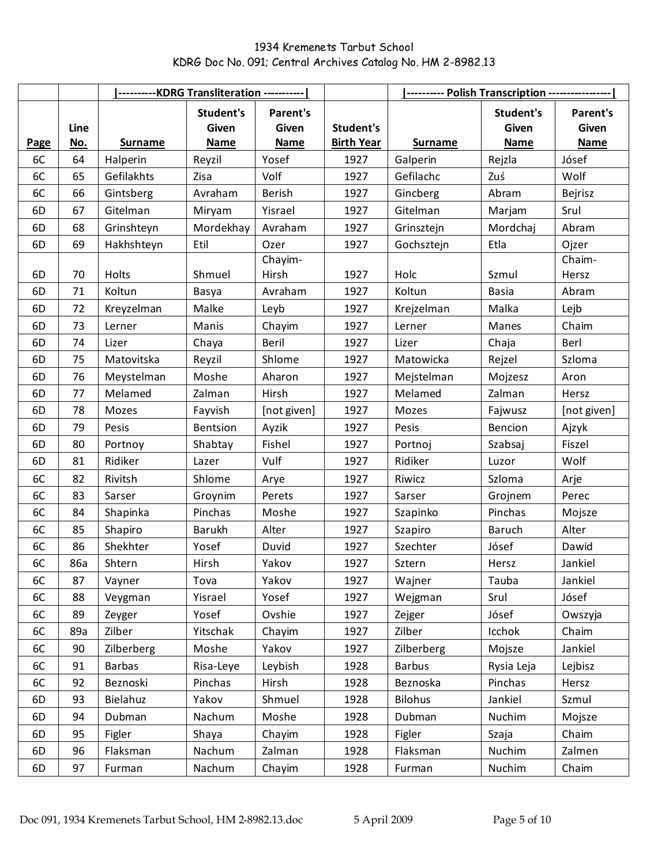|      |                    | <b> ----------KDRG Transliteration -----------  </b> |                                   |                                         |                                | <b>Serview-Polish Transcription -----------------  </b> |                                   |                                  |
|------|--------------------|------------------------------------------------------|-----------------------------------|-----------------------------------------|--------------------------------|---------------------------------------------------------|-----------------------------------|----------------------------------|
| Page | Line<br><u>No.</u> | <b>Surname</b>                                       | Student's<br>Given<br><b>Name</b> | <b>Parent's</b><br>Given<br><b>Name</b> | Student's<br><b>Birth Year</b> | <b>Surname</b>                                          | Student's<br>Given<br><b>Name</b> | Parent's<br>Given<br><b>Name</b> |
| 6C   | 64                 | Halperin                                             | Reyzil                            | Yosef                                   | 1927                           | Galperin                                                | Rejzla                            | Jósef                            |
| 6C   | 65                 | Gefilakhts                                           | Zisa                              | Volf                                    | 1927                           | Gefilachc                                               | Zuś                               | Wolf                             |
| 6C   | 66                 | Gintsberg                                            | Avraham                           | Berish                                  | 1927                           | Gincberg                                                | Abram                             | Bejrisz                          |
| 6D   | 67                 | Gitelman                                             | Miryam                            | Yisrael                                 | 1927                           | Gitelman                                                | Marjam                            | Srul                             |
| 6D   | 68                 | Grinshteyn                                           | Mordekhay                         | Avraham                                 | 1927                           | Grinsztejn                                              | Mordchaj                          | Abram                            |
| 6D   | 69                 | Hakhshteyn                                           | Etil                              | Ozer                                    | 1927                           | Gochsztejn                                              | Etla                              | Ojzer                            |
|      |                    |                                                      |                                   | Chayim-                                 |                                |                                                         |                                   | Chaim-                           |
| 6D   | 70                 | Holts                                                | Shmuel                            | Hirsh                                   | 1927                           | Holc                                                    | Szmul                             | Hersz                            |
| 6D   | 71                 | Koltun                                               | Basya                             | Avraham                                 | 1927                           | Koltun                                                  | <b>Basia</b>                      | Abram                            |
| 6D   | 72                 | Kreyzelman                                           | Malke                             | Leyb                                    | 1927                           | Krejzelman                                              | Malka                             | Lejb                             |
| 6D   | 73                 | Lerner                                               | Manis                             | Chayim                                  | 1927                           | Lerner                                                  | Manes                             | Chaim                            |
| 6D   | 74                 | Lizer                                                | Chaya                             | Beril                                   | 1927                           | Lizer                                                   | Chaja                             | Berl                             |
| 6D   | 75                 | Matovitska                                           | Reyzil                            | Shlome                                  | 1927                           | Matowicka                                               | Rejzel                            | Szloma                           |
| 6D   | 76                 | Meystelman                                           | Moshe                             | Aharon                                  | 1927                           | Mejstelman                                              | Mojzesz                           | Aron                             |
| 6D   | 77                 | Melamed                                              | Zalman                            | Hirsh                                   | 1927                           | Melamed                                                 | Zalman                            | Hersz                            |
| 6D   | 78                 | Mozes                                                | Fayvish                           | [not given]                             | 1927                           | Mozes                                                   | Fajwusz                           | [not given]                      |
| 6D   | 79                 | Pesis                                                | Bentsion                          | Ayzik                                   | 1927                           | Pesis                                                   | Bencion                           | Ajzyk                            |
| 6D   | 80                 | Portnoy                                              | Shabtay                           | Fishel                                  | 1927                           | Portnoj                                                 | Szabsaj                           | Fiszel                           |
| 6D   | 81                 | Ridiker                                              | Lazer                             | Vulf                                    | 1927                           | Ridiker                                                 | Luzor                             | Wolf                             |
| 6C   | 82                 | Rivitsh                                              | Shlome                            | Arye                                    | 1927                           | Riwicz                                                  | Szloma                            | Arje                             |
| 6C   | 83                 | Sarser                                               | Groynim                           | Perets                                  | 1927                           | Sarser                                                  | Grojnem                           | Perec                            |
| 6C   | 84                 | Shapinka                                             | Pinchas                           | Moshe                                   | 1927                           | Szapinko                                                | Pinchas                           | Mojsze                           |
| 6C   | 85                 | Shapiro                                              | Barukh                            | Alter                                   | 1927                           | Szapiro                                                 | Baruch                            | Alter                            |
| 6C   | 86                 | Shekhter                                             | Yosef                             | Duvid                                   | 1927                           | Szechter                                                | Jósef                             | Dawid                            |
| 6C   | 86a                | Shtern                                               | Hirsh                             | Yakov                                   | 1927                           | Sztern                                                  | Hersz                             | Jankiel                          |
| 6C   | 87                 | Vayner                                               | Tova                              | Yakov                                   | 1927                           | Wajner                                                  | Tauba                             | Jankiel                          |
| 6C   | 88                 | Veygman                                              | Yisrael                           | Yosef                                   | 1927                           | Wejgman                                                 | Srul                              | Jósef                            |
| 6C   | 89                 | Zeyger                                               | Yosef                             | Ovshie                                  | 1927                           | Zejger                                                  | Jósef                             | Owszyja                          |
| 6C   | 89a                | Zilber                                               | Yitschak                          | Chayim                                  | 1927                           | Zilber                                                  | Icchok                            | Chaim                            |
| 6C   | 90                 | Zilberberg                                           | Moshe                             | Yakov                                   | 1927                           | Zilberberg                                              | Mojsze                            | Jankiel                          |
| 6C   | 91                 | <b>Barbas</b>                                        | Risa-Leye                         | Leybish                                 | 1928                           | <b>Barbus</b>                                           | Rysia Leja                        | Lejbisz                          |
| 6C   | 92                 | Beznoski                                             | Pinchas                           | Hirsh                                   | 1928                           | Beznoska                                                | Pinchas                           | Hersz                            |
| 6D   | 93                 | Bielahuz                                             | Yakov                             | Shmuel                                  | 1928                           | <b>Bilohus</b>                                          | Jankiel                           | Szmul                            |
| 6D   | 94                 | Dubman                                               | Nachum                            | Moshe                                   | 1928                           | Dubman                                                  | Nuchim                            | Mojsze                           |
| 6D   | 95                 | Figler                                               | Shaya                             | Chayim                                  | 1928                           | Figler                                                  | Szaja                             | Chaim                            |
| 6D   | 96                 | Flaksman                                             | Nachum                            | Zalman                                  | 1928                           | Flaksman                                                | Nuchim                            | Zalmen                           |
| 6D   | 97                 | Furman                                               | Nachum                            | Chayim                                  | 1928                           | Furman                                                  | Nuchim                            | Chaim                            |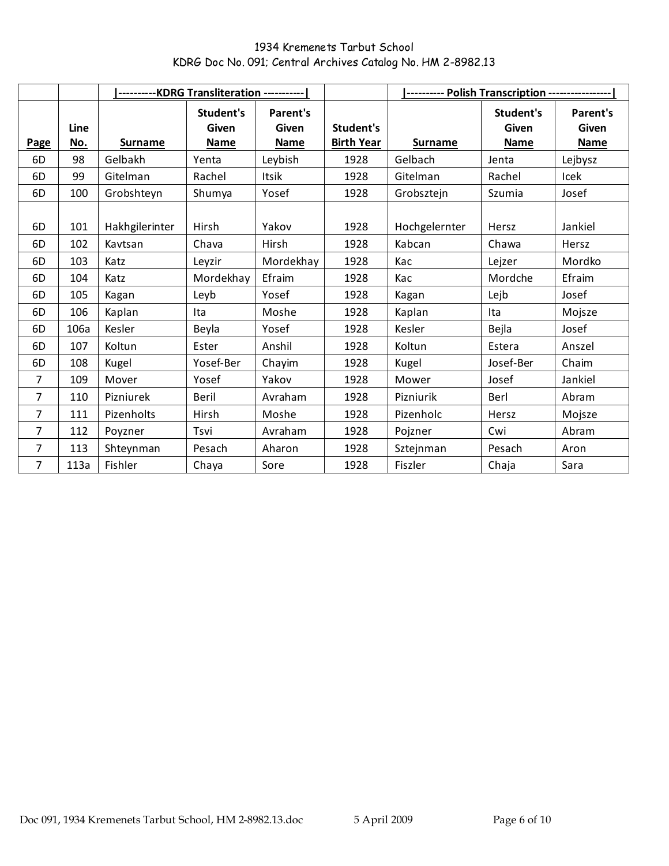|                |                    | ---------KDRG Transliteration ----------- |                                          |                                  |                                |                |                                   |                                  |
|----------------|--------------------|-------------------------------------------|------------------------------------------|----------------------------------|--------------------------------|----------------|-----------------------------------|----------------------------------|
| Page           | Line<br><u>No.</u> | <b>Surname</b>                            | Student's<br><b>Given</b><br><b>Name</b> | Parent's<br><b>Given</b><br>Name | Student's<br><b>Birth Year</b> | <b>Surname</b> | Student's<br>Given<br><b>Name</b> | Parent's<br>Given<br><b>Name</b> |
| 6D             | 98                 | Gelbakh                                   | Yenta                                    | Leybish                          | 1928                           | Gelbach        | Jenta                             | Lejbysz                          |
| 6D             | 99                 | Gitelman                                  | Rachel                                   | Itsik                            | 1928                           | Gitelman       | Rachel                            | Icek                             |
| 6D             | 100                | Grobshteyn                                | Shumya                                   | Yosef                            | 1928                           | Grobsztejn     | Szumia                            | Josef                            |
| 6D             | 101                | Hakhgilerinter                            | Hirsh                                    | Yakov                            | 1928                           | Hochgelernter  | Hersz                             | Jankiel                          |
| 6D             | 102                | Kavtsan                                   | Chava                                    | Hirsh                            | 1928                           | Kabcan         | Chawa                             | Hersz                            |
| 6D             | 103                | Katz                                      | Leyzir                                   | Mordekhay                        | 1928                           | Kac            | Lejzer                            | Mordko                           |
| 6D             | 104                | Katz                                      | Mordekhay                                | Efraim                           | 1928                           | Kac            | Mordche                           | Efraim                           |
| 6D             | 105                | Kagan                                     | Leyb                                     | Yosef                            | 1928                           | Kagan          | Lejb                              | Josef                            |
| 6D             | 106                | Kaplan                                    | Ita                                      | Moshe                            | 1928                           | Kaplan         | Ita                               | Mojsze                           |
| 6D             | 106a               | Kesler                                    | Beyla                                    | Yosef                            | 1928                           | Kesler         | Bejla                             | Josef                            |
| 6D             | 107                | Koltun                                    | Ester                                    | Anshil                           | 1928                           | Koltun         | Estera                            | Anszel                           |
| 6D             | 108                | Kugel                                     | Yosef-Ber                                | Chayim                           | 1928                           | Kugel          | Josef-Ber                         | Chaim                            |
| $\overline{7}$ | 109                | Mover                                     | Yosef                                    | Yakov                            | 1928                           | Mower          | Josef                             | Jankiel                          |
| $\overline{7}$ | 110                | Pizniurek                                 | Beril                                    | Avraham                          | 1928                           | Pizniurik      | Berl                              | Abram                            |
| $\overline{7}$ | 111                | Pizenholts                                | <b>Hirsh</b>                             | Moshe                            | 1928                           | Pizenholc      | Hersz                             | Mojsze                           |
| 7              | 112                | Poyzner                                   | Tsvi                                     | Avraham                          | 1928                           | Pojzner        | Cwi                               | Abram                            |
| $\overline{7}$ | 113                | Shteynman                                 | Pesach                                   | Aharon                           | 1928                           | Sztejnman      | Pesach                            | Aron                             |
| $\overline{7}$ | 113a               | Fishler                                   | Chaya                                    | Sore                             | 1928                           | Fiszler        | Chaja                             | Sara                             |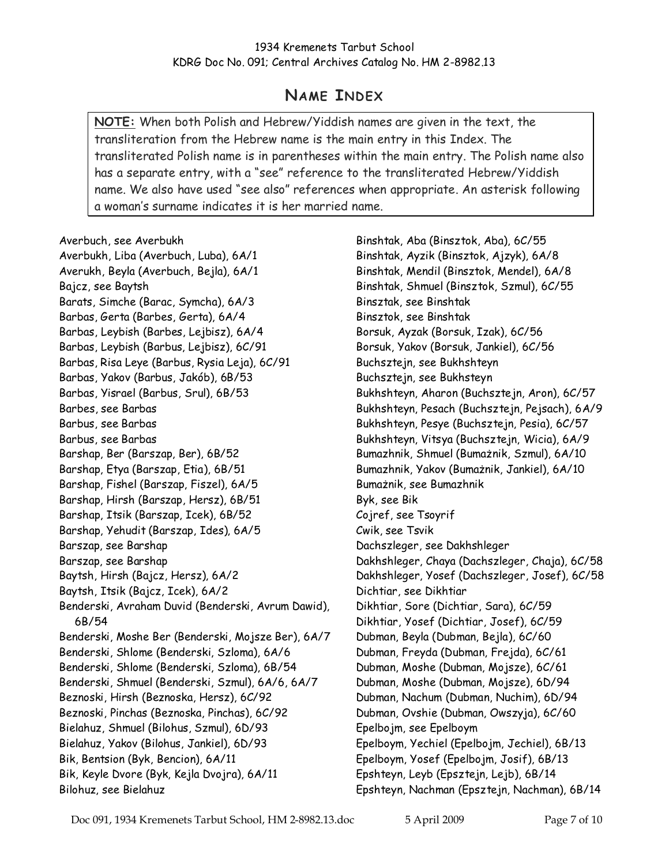# NAME INDEX

NOTE: When both Polish and Hebrew/Yiddish names are given in the text, the transliteration from the Hebrew name is the main entry in this Index. The transliterated Polish name is in parentheses within the main entry. The Polish name also has a separate entry, with a "see" reference to the transliterated Hebrew/Yiddish name. We also have used "see also" references when appropriate. An asterisk following a woman's surname indicates it is her married name.

Averbuch, see Averbukh

Averbukh, Liba (Averbuch, Luba), 6A/1 Averukh, Beyla (Averbuch, Bejla), 6A/1 Bajcz, see Baytsh Barats, Simche (Barac, Symcha), 6A/3 Barbas, Gerta (Barbes, Gerta), 6A/4 Barbas, Leybish (Barbes, Lejbisz), 6A/4 Barbas, Leybish (Barbus, Lejbisz), 6C/91 Barbas, Risa Leye (Barbus, Rysia Leja), 6C/91 Barbas, Yakov (Barbus, Jakób), 6B/53 Barbas, Yisrael (Barbus, Srul), 6B/53 Barbes, see Barbas Barbus, see Barbas Barbus, see Barbas Barshap, Ber (Barszap, Ber), 6B/52 Barshap, Etya (Barszap, Etia), 6B/51 Barshap, Fishel (Barszap, Fiszel), 6A/5 Barshap, Hirsh (Barszap, Hersz), 6B/51 Barshap, Itsik (Barszap, Icek), 6B/52 Barshap, Yehudit (Barszap, Ides), 6A/5 Barszap, see Barshap Barszap, see Barshap Baytsh, Hirsh (Bajcz, Hersz), 6A/2 Baytsh, Itsik (Bajcz, Icek), 6A/2 Benderski, Avraham Duvid (Benderski, Avrum Dawid), 6B/54 Benderski, Moshe Ber (Benderski, Mojsze Ber), 6A/7 Benderski, Shlome (Benderski, Szloma), 6A/6 Benderski, Shlome (Benderski, Szloma), 6B/54 Benderski, Shmuel (Benderski, Szmul), 6A/6, 6A/7 Beznoski, Hirsh (Beznoska, Hersz), 6C/92 Beznoski, Pinchas (Beznoska, Pinchas), 6C/92 Bielahuz, Shmuel (Bilohus, Szmul), 6D/93 Bielahuz, Yakov (Bilohus, Jankiel), 6D/93 Bik, Bentsion (Byk, Bencion), 6A/11 Bik, Keyle Dvore (Byk, Kejla Dvojra), 6A/11 Bilohuz, see Bielahuz

Binshtak, Aba (Binsztok, Aba), 6C/55 Binshtak, Ayzik (Binsztok, Ajzyk), 6A/8 Binshtak, Mendil (Binsztok, Mendel), 6A/8 Binshtak, Shmuel (Binsztok, Szmul), 6C/55 Binsztak, see Binshtak Binsztok, see Binshtak Borsuk, Ayzak (Borsuk, Izak), 6C/56 Borsuk, Yakov (Borsuk, Jankiel), 6C/56 Buchsztejn, see Bukhshteyn Buchsztejn, see Bukhsteyn Bukhshteyn, Aharon (Buchsztejn, Aron), 6C/57 Bukhshteyn, Pesach (Buchsztejn, Pejsach), 6A/9 Bukhshteyn, Pesye (Buchsztejn, Pesia), 6C/57 Bukhshteyn, Vitsya (Buchsztejn, Wicia), 6A/9 Bumazhnik, Shmuel (Bumażnik, Szmul), 6A/10 Bumazhnik, Yakov (Bumażnik, Jankiel), 6A/10 Bumażnik, see Bumazhnik Byk, see Bik Cojref, see Tsoyrif Cwik, see Tsvik Dachszleger, see Dakhshleger Dakhshleger, Chaya (Dachszleger, Chaja), 6C/58 Dakhshleger, Yosef (Dachszleger, Josef), 6C/58 Dichtiar, see Dikhtiar Dikhtiar, Sore (Dichtiar, Sara), 6C/59 Dikhtiar, Yosef (Dichtiar, Josef), 6C/59 Dubman, Beyla (Dubman, Bejla), 6C/60 Dubman, Freyda (Dubman, Frejda), 6C/61 Dubman, Moshe (Dubman, Mojsze), 6C/61 Dubman, Moshe (Dubman, Mojsze), 6D/94 Dubman, Nachum (Dubman, Nuchim), 6D/94 Dubman, Ovshie (Dubman, Owszyja), 6C/60 Epelbojm, see Epelboym Epelboym, Yechiel (Epelbojm, Jechiel), 6B/13 Epelboym, Yosef (Epelbojm, Josif), 6B/13 Epshteyn, Leyb (Epsztejn, Lejb), 6B/14 Epshteyn, Nachman (Epsztejn, Nachman), 6B/14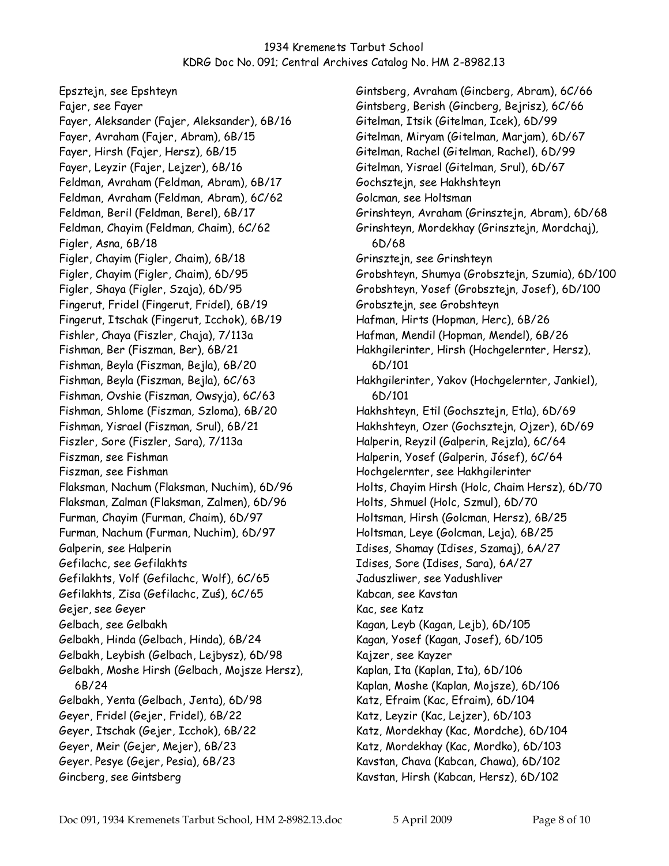Epsztejn, see Epshteyn Fajer, see Fayer Fayer, Aleksander (Fajer, Aleksander), 6B/16 Fayer, Avraham (Fajer, Abram), 6B/15 Fayer, Hirsh (Fajer, Hersz), 6B/15 Fayer, Leyzir (Fajer, Lejzer), 6B/16 Feldman, Avraham (Feldman, Abram), 6B/17 Feldman, Avraham (Feldman, Abram), 6C/62 Feldman, Beril (Feldman, Berel), 6B/17 Feldman, Chayim (Feldman, Chaim), 6C/62 Figler, Asna, 6B/18 Figler, Chayim (Figler, Chaim), 6B/18 Figler, Chayim (Figler, Chaim), 6D/95 Figler, Shaya (Figler, Szaja), 6D/95 Fingerut, Fridel (Fingerut, Fridel), 6B/19 Fingerut, Itschak (Fingerut, Icchok), 6B/19 Fishler, Chaya (Fiszler, Chaja), 7/113a Fishman, Ber (Fiszman, Ber), 6B/21 Fishman, Beyla (Fiszman, Bejla), 6B/20 Fishman, Beyla (Fiszman, Bejla), 6C/63 Fishman, Ovshie (Fiszman, Owsyja), 6C/63 Fishman, Shlome (Fiszman, Szloma), 6B/20 Fishman, Yisrael (Fiszman, Srul), 6B/21 Fiszler, Sore (Fiszler, Sara), 7/113a Fiszman, see Fishman Fiszman, see Fishman Flaksman, Nachum (Flaksman, Nuchim), 6D/96 Flaksman, Zalman (Flaksman, Zalmen), 6D/96 Furman, Chayim (Furman, Chaim), 6D/97 Furman, Nachum (Furman, Nuchim), 6D/97 Galperin, see Halperin Gefilachc, see Gefilakhts Gefilakhts, Volf (Gefilachc, Wolf), 6C/65 Gefilakhts, Zisa (Gefilachc, Zuś), 6C/65 Gejer, see Geyer Gelbach, see Gelbakh Gelbakh, Hinda (Gelbach, Hinda), 6B/24 Gelbakh, Leybish (Gelbach, Lejbysz), 6D/98 Gelbakh, Moshe Hirsh (Gelbach, Mojsze Hersz), 6B/24 Gelbakh, Yenta (Gelbach, Jenta), 6D/98 Geyer, Fridel (Gejer, Fridel), 6B/22 Geyer, Itschak (Gejer, Icchok), 6B/22 Geyer, Meir (Gejer, Mejer), 6B/23 Geyer. Pesye (Gejer, Pesia), 6B/23 Gincberg, see Gintsberg

Gintsberg, Avraham (Gincberg, Abram), 6C/66 Gintsberg, Berish (Gincberg, Bejrisz), 6C/66 Gitelman, Itsik (Gitelman, Icek), 6D/99 Gitelman, Miryam (Gitelman, Marjam), 6D/67 Gitelman, Rachel (Gitelman, Rachel), 6D/99 Gitelman, Yisrael (Gitelman, Srul), 6D/67 Gochsztejn, see Hakhshteyn Golcman, see Holtsman Grinshteyn, Avraham (Grinsztejn, Abram), 6D/68 Grinshteyn, Mordekhay (Grinsztejn, Mordchaj), 6D/68 Grinsztejn, see Grinshteyn Grobshteyn, Shumya (Grobsztejn, Szumia), 6D/100 Grobshteyn, Yosef (Grobsztejn, Josef), 6D/100 Grobsztejn, see Grobshteyn Hafman, Hirts (Hopman, Herc), 6B/26 Hafman, Mendil (Hopman, Mendel), 6B/26 Hakhgilerinter, Hirsh (Hochgelernter, Hersz), 6D/101 Hakhgilerinter, Yakov (Hochgelernter, Jankiel), 6D/101 Hakhshteyn, Etil (Gochsztejn, Etla), 6D/69 Hakhshteyn, Ozer (Gochsztejn, Ojzer), 6D/69 Halperin, Reyzil (Galperin, Rejzla), 6C/64 Halperin, Yosef (Galperin, Jósef), 6C/64 Hochgelernter, see Hakhgilerinter Holts, Chayim Hirsh (Holc, Chaim Hersz), 6D/70 Holts, Shmuel (Holc, Szmul), 6D/70 Holtsman, Hirsh (Golcman, Hersz), 6B/25 Holtsman, Leye (Golcman, Leja), 6B/25 Idises, Shamay (Idises, Szamaj), 6A/27 Idises, Sore (Idises, Sara), 6A/27 Jaduszliwer, see Yadushliver Kabcan, see Kavstan Kac, see Katz Kagan, Leyb (Kagan, Lejb), 6D/105 Kagan, Yosef (Kagan, Josef), 6D/105 Kajzer, see Kayzer Kaplan, Ita (Kaplan, Ita), 6D/106 Kaplan, Moshe (Kaplan, Mojsze), 6D/106 Katz, Efraim (Kac, Efraim), 6D/104 Katz, Leyzir (Kac, Lejzer), 6D/103 Katz, Mordekhay (Kac, Mordche), 6D/104 Katz, Mordekhay (Kac, Mordko), 6D/103 Kavstan, Chava (Kabcan, Chawa), 6D/102 Kavstan, Hirsh (Kabcan, Hersz), 6D/102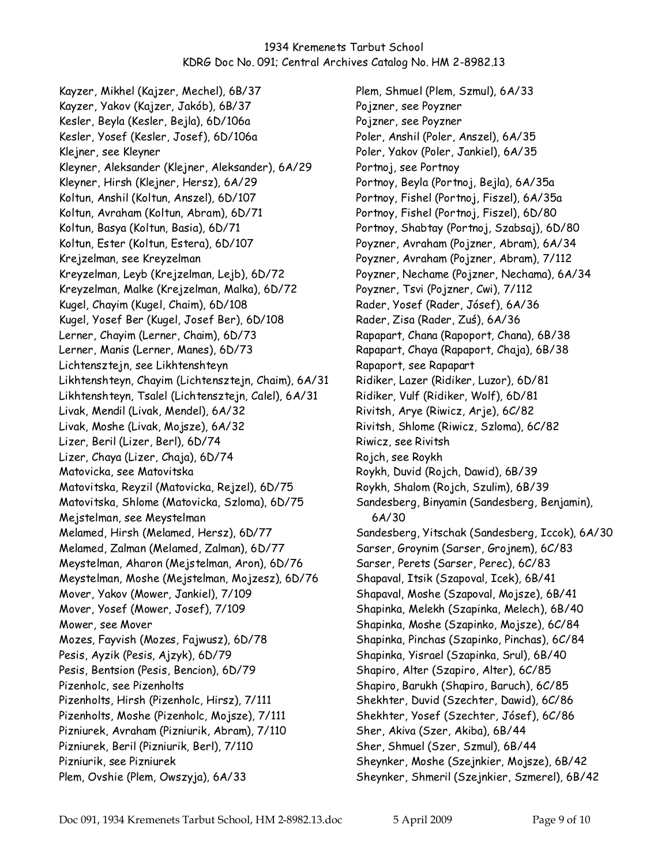Kayzer, Mikhel (Kajzer, Mechel), 6B/37 Kayzer, Yakov (Kajzer, Jakób), 6B/37 Kesler, Beyla (Kesler, Bejla), 6D/106a Kesler, Yosef (Kesler, Josef), 6D/106a Klejner, see Kleyner Kleyner, Aleksander (Klejner, Aleksander), 6A/29 Kleyner, Hirsh (Klejner, Hersz), 6A/29 Koltun, Anshil (Koltun, Anszel), 6D/107 Koltun, Avraham (Koltun, Abram), 6D/71 Koltun, Basya (Koltun, Basia), 6D/71 Koltun, Ester (Koltun, Estera), 6D/107 Krejzelman, see Kreyzelman Kreyzelman, Leyb (Krejzelman, Lejb), 6D/72 Kreyzelman, Malke (Krejzelman, Malka), 6D/72 Kugel, Chayim (Kugel, Chaim), 6D/108 Kugel, Yosef Ber (Kugel, Josef Ber), 6D/108 Lerner, Chayim (Lerner, Chaim), 6D/73 Lerner, Manis (Lerner, Manes), 6D/73 Lichtensztejn, see Likhtenshteyn Likhtenshteyn, Chayim (Lichtensztejn, Chaim), 6A/31 Likhtenshteyn, Tsalel (Lichtensztejn, Calel), 6A/31 Livak, Mendil (Livak, Mendel), 6A/32 Livak, Moshe (Livak, Mojsze), 6A/32 Lizer, Beril (Lizer, Berl), 6D/74 Lizer, Chaya (Lizer, Chaja), 6D/74 Matovicka, see Matovitska Matovitska, Reyzil (Matovicka, Rejzel), 6D/75 Matovitska, Shlome (Matovicka, Szloma), 6D/75 Mejstelman, see Meystelman Melamed, Hirsh (Melamed, Hersz), 6D/77 Melamed, Zalman (Melamed, Zalman), 6D/77 Meystelman, Aharon (Mejstelman, Aron), 6D/76 Meystelman, Moshe (Mejstelman, Mojzesz), 6D/76 Mover, Yakov (Mower, Jankiel), 7/109 Mover, Yosef (Mower, Josef), 7/109 Mower, see Mover Mozes, Fayvish (Mozes, Fajwusz), 6D/78 Pesis, Ayzik (Pesis, Ajzyk), 6D/79 Pesis, Bentsion (Pesis, Bencion), 6D/79 Pizenholc, see Pizenholts Pizenholts, Hirsh (Pizenholc, Hirsz), 7/111 Pizenholts, Moshe (Pizenholc, Mojsze), 7/111 Pizniurek, Avraham (Pizniurik, Abram), 7/110 Pizniurek, Beril (Pizniurik, Berl), 7/110 Pizniurik, see Pizniurek Plem, Ovshie (Plem, Owszyja), 6A/33

Plem, Shmuel (Plem, Szmul), 6A/33 Pojzner, see Poyzner Pojzner, see Poyzner Poler, Anshil (Poler, Anszel), 6A/35 Poler, Yakov (Poler, Jankiel), 6A/35 Portnoj, see Portnoy Portnoy, Beyla (Portnoj, Bejla), 6A/35a Portnoy, Fishel (Portnoj, Fiszel), 6A/35a Portnoy, Fishel (Portnoj, Fiszel), 6D/80 Portnoy, Shabtay (Portnoj, Szabsaj), 6D/80 Poyzner, Avraham (Pojzner, Abram), 6A/34 Poyzner, Avraham (Pojzner, Abram), 7/112 Poyzner, Nechame (Pojzner, Nechama), 6A/34 Poyzner, Tsvi (Pojzner, Cwi), 7/112 Rader, Yosef (Rader, Jósef), 6A/36 Rader, Zisa (Rader, Zuś), 6A/36 Rapapart, Chana (Rapoport, Chana), 6B/38 Rapapart, Chaya (Rapaport, Chaja), 6B/38 Rapaport, see Rapapart Ridiker, Lazer (Ridiker, Luzor), 6D/81 Ridiker, Vulf (Ridiker, Wolf), 6D/81 Rivitsh, Arye (Riwicz, Arje), 6C/82 Rivitsh, Shlome (Riwicz, Szloma), 6C/82 Riwicz, see Rivitsh Rojch, see Roykh Roykh, Duvid (Rojch, Dawid), 6B/39 Roykh, Shalom (Rojch, Szulim), 6B/39 Sandesberg, Binyamin (Sandesberg, Benjamin), 6A/30 Sandesberg, Yitschak (Sandesberg, Iccok), 6A/30 Sarser, Groynim (Sarser, Grojnem), 6C/83 Sarser, Perets (Sarser, Perec), 6C/83 Shapaval, Itsik (Szapoval, Icek), 6B/41 Shapaval, Moshe (Szapoval, Mojsze), 6B/41 Shapinka, Melekh (Szapinka, Melech), 6B/40 Shapinka, Moshe (Szapinko, Mojsze), 6C/84 Shapinka, Pinchas (Szapinko, Pinchas), 6C/84 Shapinka, Yisrael (Szapinka, Srul), 6B/40 Shapiro, Alter (Szapiro, Alter), 6C/85 Shapiro, Barukh (Shapiro, Baruch), 6C/85 Shekhter, Duvid (Szechter, Dawid), 6C/86 Shekhter, Yosef (Szechter, Jósef), 6C/86 Sher, Akiva (Szer, Akiba), 6B/44 Sher, Shmuel (Szer, Szmul), 6B/44 Sheynker, Moshe (Szejnkier, Mojsze), 6B/42 Sheynker, Shmeril (Szejnkier, Szmerel), 6B/42